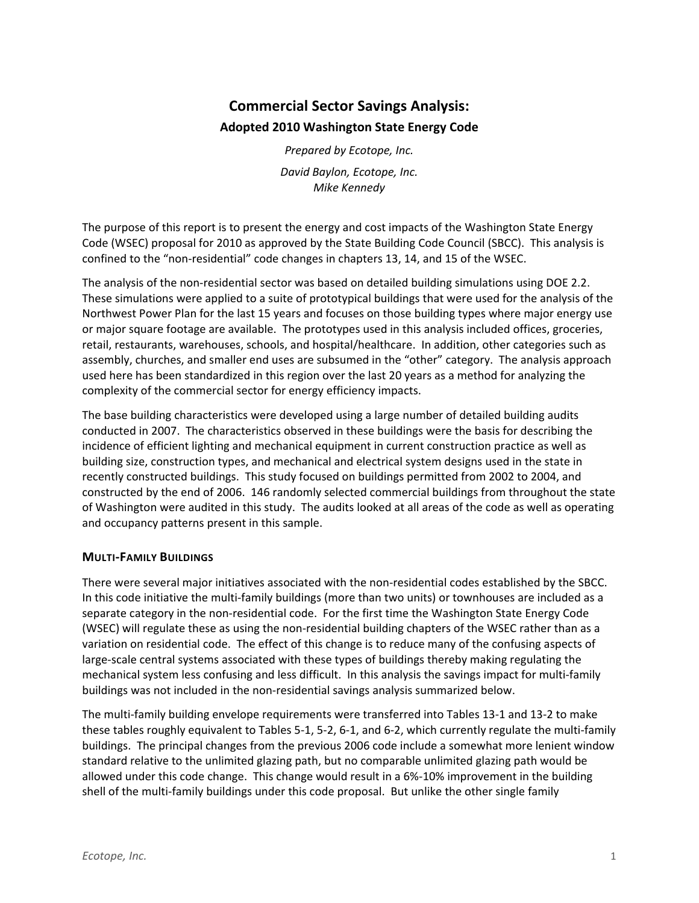# **Commercial Sector Savings Analysis: Adopted 2010 Washington State Energy Code**

*Prepared by Ecotope, Inc. David Baylon, Ecotope, Inc. Mike Kennedy*

The purpose of this report is to present the energy and cost impacts of the Washington State Energy Code (WSEC) proposal for 2010 as approved by the State Building Code Council (SBCC). This analysis is confined to the "non‐residential" code changes in chapters 13, 14, and 15 of the WSEC.

The analysis of the non-residential sector was based on detailed building simulations using DOE 2.2. These simulations were applied to a suite of prototypical buildings that were used for the analysis of the Northwest Power Plan for the last 15 years and focuses on those building types where major energy use or major square footage are available. The prototypes used in this analysis included offices, groceries, retail, restaurants, warehouses, schools, and hospital/healthcare. In addition, other categories such as assembly, churches, and smaller end uses are subsumed in the "other" category. The analysis approach used here has been standardized in this region over the last 20 years as a method for analyzing the complexity of the commercial sector for energy efficiency impacts.

The base building characteristics were developed using a large number of detailed building audits conducted in 2007. The characteristics observed in these buildings were the basis for describing the incidence of efficient lighting and mechanical equipment in current construction practice as well as building size, construction types, and mechanical and electrical system designs used in the state in recently constructed buildings. This study focused on buildings permitted from 2002 to 2004, and constructed by the end of 2006. 146 randomly selected commercial buildings from throughout the state of Washington were audited in this study. The audits looked at all areas of the code as well as operating and occupancy patterns present in this sample.

#### **MULTI‐FAMILY BUILDINGS**

There were several major initiatives associated with the non-residential codes established by the SBCC. In this code initiative the multi-family buildings (more than two units) or townhouses are included as a separate category in the non-residential code. For the first time the Washington State Energy Code (WSEC) will regulate these as using the non‐residential building chapters of the WSEC rather than as a variation on residential code. The effect of this change is to reduce many of the confusing aspects of large-scale central systems associated with these types of buildings thereby making regulating the mechanical system less confusing and less difficult. In this analysis the savings impact for multi-family buildings was not included in the non‐residential savings analysis summarized below.

The multi‐family building envelope requirements were transferred into Tables 13‐1 and 13‐2 to make these tables roughly equivalent to Tables 5‐1, 5‐2, 6‐1, and 6‐2, which currently regulate the multi‐family buildings. The principal changes from the previous 2006 code include a somewhat more lenient window standard relative to the unlimited glazing path, but no comparable unlimited glazing path would be allowed under this code change. This change would result in a 6%‐10% improvement in the building shell of the multi-family buildings under this code proposal. But unlike the other single family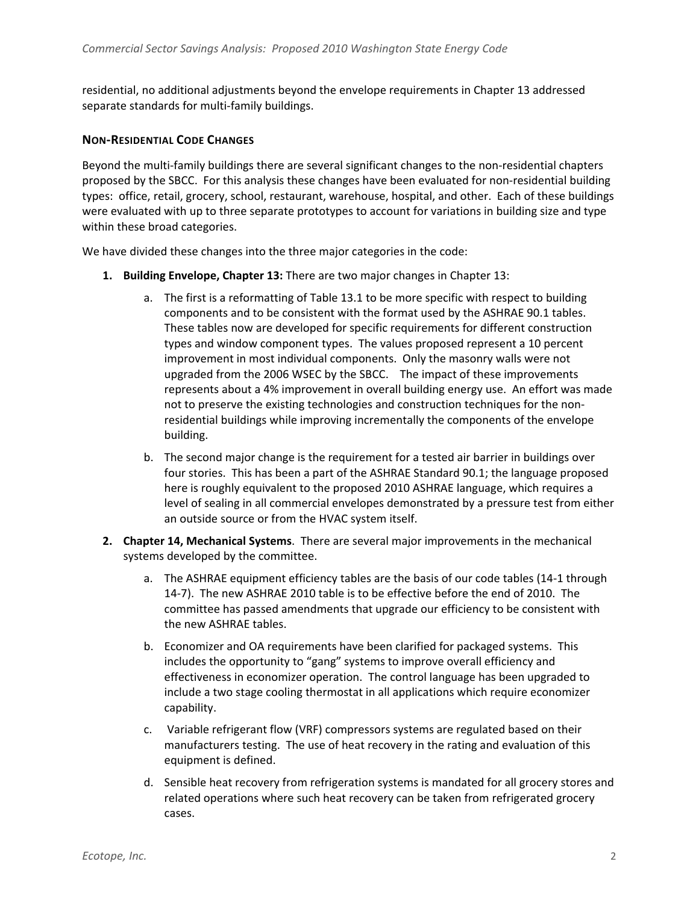residential, no additional adjustments beyond the envelope requirements in Chapter 13 addressed separate standards for multi-family buildings.

#### **NON‐RESIDENTIAL CODE CHANGES**

Beyond the multi-family buildings there are several significant changes to the non-residential chapters proposed by the SBCC. For this analysis these changes have been evaluated for non-residential building types: office, retail, grocery, school, restaurant, warehouse, hospital, and other. Each of these buildings were evaluated with up to three separate prototypes to account for variations in building size and type within these broad categories.

We have divided these changes into the three major categories in the code:

- **1. Building Envelope, Chapter 13:** There are two major changes in Chapter 13:
	- a. The first is a reformatting of Table 13.1 to be more specific with respect to building components and to be consistent with the format used by the ASHRAE 90.1 tables. These tables now are developed for specific requirements for different construction types and window component types. The values proposed represent a 10 percent improvement in most individual components. Only the masonry walls were not upgraded from the 2006 WSEC by the SBCC. The impact of these improvements represents about a 4% improvement in overall building energy use. An effort was made not to preserve the existing technologies and construction techniques for the non‐ residential buildings while improving incrementally the components of the envelope building.
	- b. The second major change is the requirement for a tested air barrier in buildings over four stories. This has been a part of the ASHRAE Standard 90.1; the language proposed here is roughly equivalent to the proposed 2010 ASHRAE language, which requires a level of sealing in all commercial envelopes demonstrated by a pressure test from either an outside source or from the HVAC system itself.
- **2. Chapter 14, Mechanical Systems**. There are several major improvements in the mechanical systems developed by the committee.
	- a. The ASHRAE equipment efficiency tables are the basis of our code tables (14‐1 through 14‐7). The new ASHRAE 2010 table is to be effective before the end of 2010. The committee has passed amendments that upgrade our efficiency to be consistent with the new ASHRAE tables.
	- b. Economizer and OA requirements have been clarified for packaged systems. This includes the opportunity to "gang" systems to improve overall efficiency and effectiveness in economizer operation. The control language has been upgraded to include a two stage cooling thermostat in all applications which require economizer capability.
	- c. Variable refrigerant flow (VRF) compressors systems are regulated based on their manufacturers testing. The use of heat recovery in the rating and evaluation of this equipment is defined.
	- d. Sensible heat recovery from refrigeration systems is mandated for all grocery stores and related operations where such heat recovery can be taken from refrigerated grocery cases.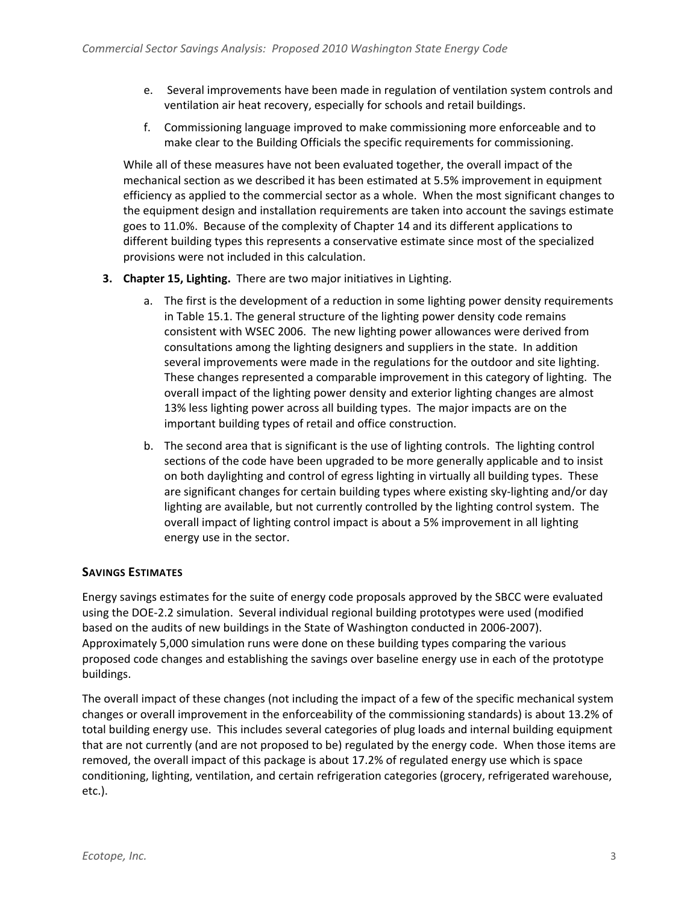- e. Several improvements have been made in regulation of ventilation system controls and ventilation air heat recovery, especially for schools and retail buildings.
- f. Commissioning language improved to make commissioning more enforceable and to make clear to the Building Officials the specific requirements for commissioning.

While all of these measures have not been evaluated together, the overall impact of the mechanical section as we described it has been estimated at 5.5% improvement in equipment efficiency as applied to the commercial sector as a whole. When the most significant changes to the equipment design and installation requirements are taken into account the savings estimate goes to 11.0%. Because of the complexity of Chapter 14 and its different applications to different building types this represents a conservative estimate since most of the specialized provisions were not included in this calculation.

- **3. Chapter 15, Lighting.** There are two major initiatives in Lighting.
	- a. The first is the development of a reduction in some lighting power density requirements in Table 15.1. The general structure of the lighting power density code remains consistent with WSEC 2006. The new lighting power allowances were derived from consultations among the lighting designers and suppliers in the state. In addition several improvements were made in the regulations for the outdoor and site lighting. These changes represented a comparable improvement in this category of lighting. The overall impact of the lighting power density and exterior lighting changes are almost 13% less lighting power across all building types. The major impacts are on the important building types of retail and office construction.
	- b. The second area that is significant is the use of lighting controls. The lighting control sections of the code have been upgraded to be more generally applicable and to insist on both daylighting and control of egress lighting in virtually all building types. These are significant changes for certain building types where existing sky-lighting and/or day lighting are available, but not currently controlled by the lighting control system. The overall impact of lighting control impact is about a 5% improvement in all lighting energy use in the sector.

## **SAVINGS ESTIMATES**

Energy savings estimates for the suite of energy code proposals approved by the SBCC were evaluated using the DOE‐2.2 simulation. Several individual regional building prototypes were used (modified based on the audits of new buildings in the State of Washington conducted in 2006‐2007). Approximately 5,000 simulation runs were done on these building types comparing the various proposed code changes and establishing the savings over baseline energy use in each of the prototype buildings.

The overall impact of these changes (not including the impact of a few of the specific mechanical system changes or overall improvement in the enforceability of the commissioning standards) is about 13.2% of total building energy use. This includes several categories of plug loads and internal building equipment that are not currently (and are not proposed to be) regulated by the energy code. When those items are removed, the overall impact of this package is about 17.2% of regulated energy use which is space conditioning, lighting, ventilation, and certain refrigeration categories (grocery, refrigerated warehouse, etc.).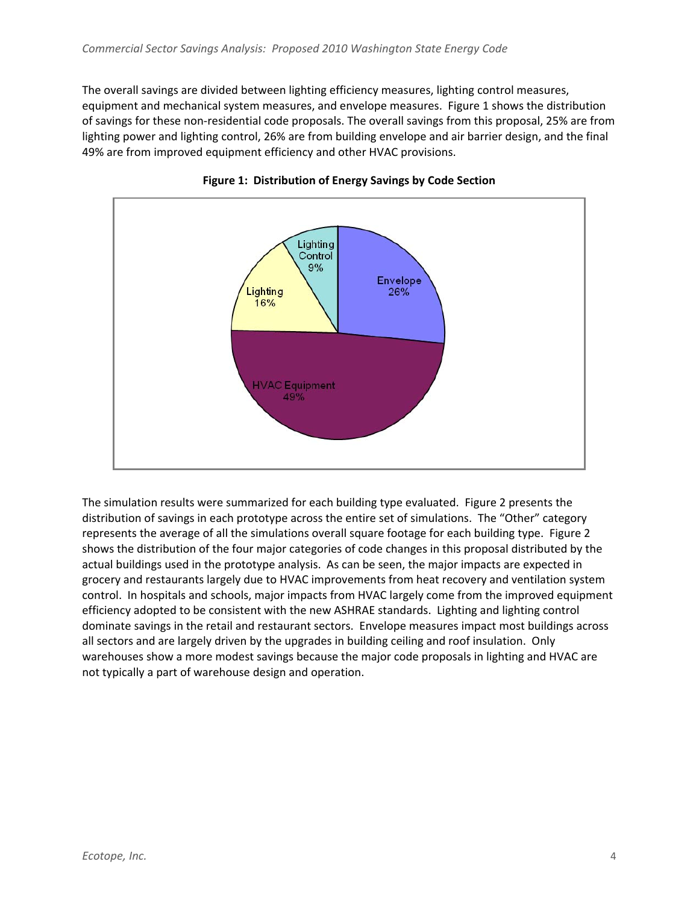The overall savings are divided between lighting efficiency measures, lighting control measures, equipment and mechanical system measures, and envelope measures. Figure 1 shows the distribution of savings for these non‐residential code proposals. The overall savings from this proposal, 25% are from lighting power and lighting control, 26% are from building envelope and air barrier design, and the final 49% are from improved equipment efficiency and other HVAC provisions.





The simulation results were summarized for each building type evaluated. Figure 2 presents the distribution of savings in each prototype across the entire set of simulations. The "Other" category represents the average of all the simulations overall square footage for each building type. Figure 2 shows the distribution of the four major categories of code changes in this proposal distributed by the actual buildings used in the prototype analysis. As can be seen, the major impacts are expected in grocery and restaurants largely due to HVAC improvements from heat recovery and ventilation system control. In hospitals and schools, major impacts from HVAC largely come from the improved equipment efficiency adopted to be consistent with the new ASHRAE standards. Lighting and lighting control dominate savings in the retail and restaurant sectors. Envelope measures impact most buildings across all sectors and are largely driven by the upgrades in building ceiling and roof insulation. Only warehouses show a more modest savings because the major code proposals in lighting and HVAC are not typically a part of warehouse design and operation.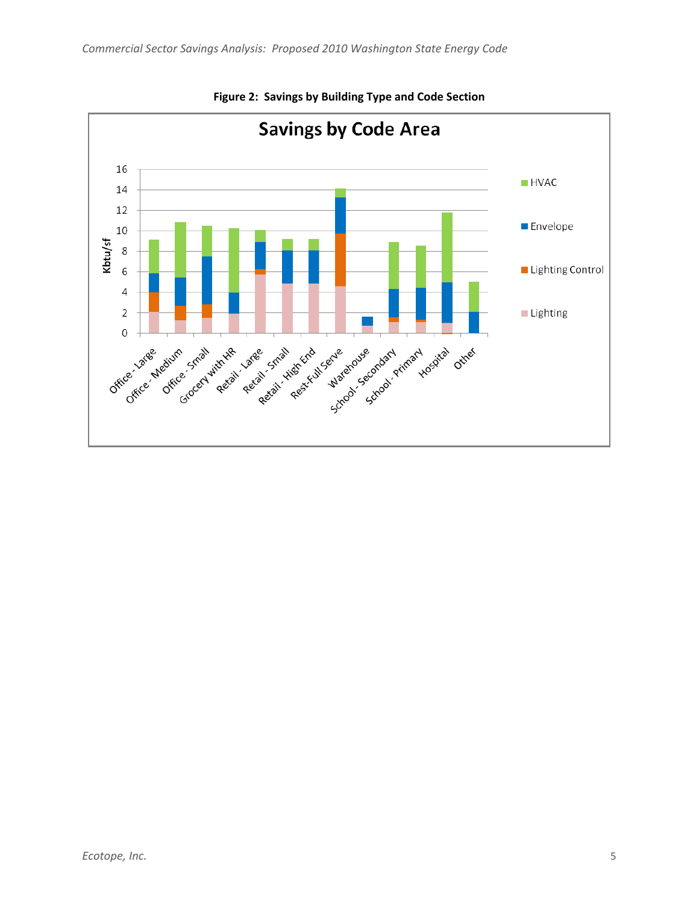

**Figure 2: Savings by Building Type and Code Section**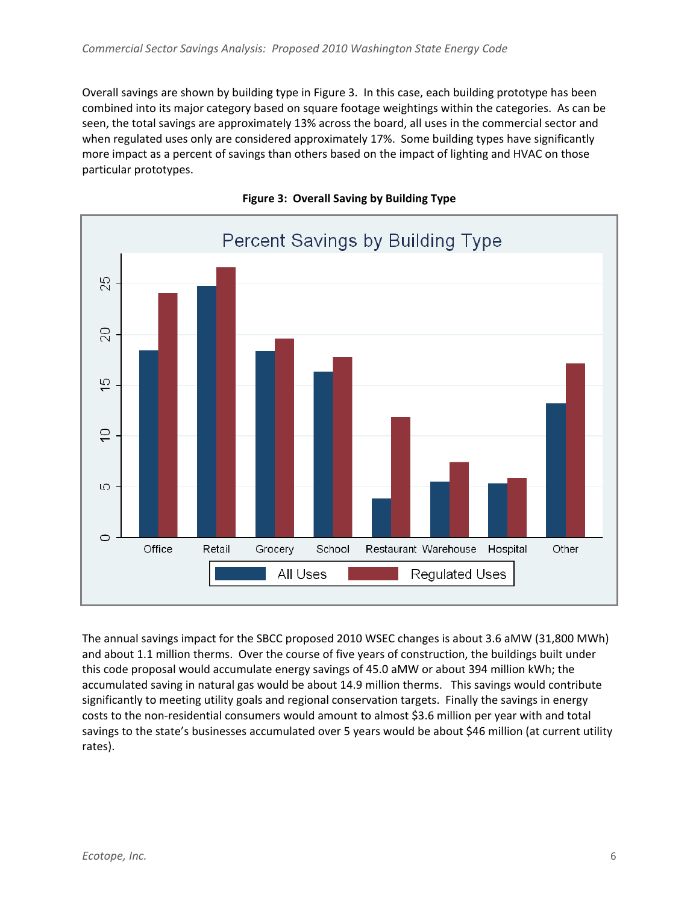Overall savings are shown by building type in Figure 3. In this case, each building prototype has been combined into its major category based on square footage weightings within the categories. As can be seen, the total savings are approximately 13% across the board, all uses in the commercial sector and when regulated uses only are considered approximately 17%. Some building types have significantly more impact as a percent of savings than others based on the impact of lighting and HVAC on those particular prototypes.





The annual savings impact for the SBCC proposed 2010 WSEC changes is about 3.6 aMW (31,800 MWh) and about 1.1 million therms. Over the course of five years of construction, the buildings built under this code proposal would accumulate energy savings of 45.0 aMW or about 394 million kWh; the accumulated saving in natural gas would be about 14.9 million therms. This savings would contribute significantly to meeting utility goals and regional conservation targets. Finally the savings in energy costs to the non‐residential consumers would amount to almost \$3.6 million per year with and total savings to the state's businesses accumulated over 5 years would be about \$46 million (at current utility rates).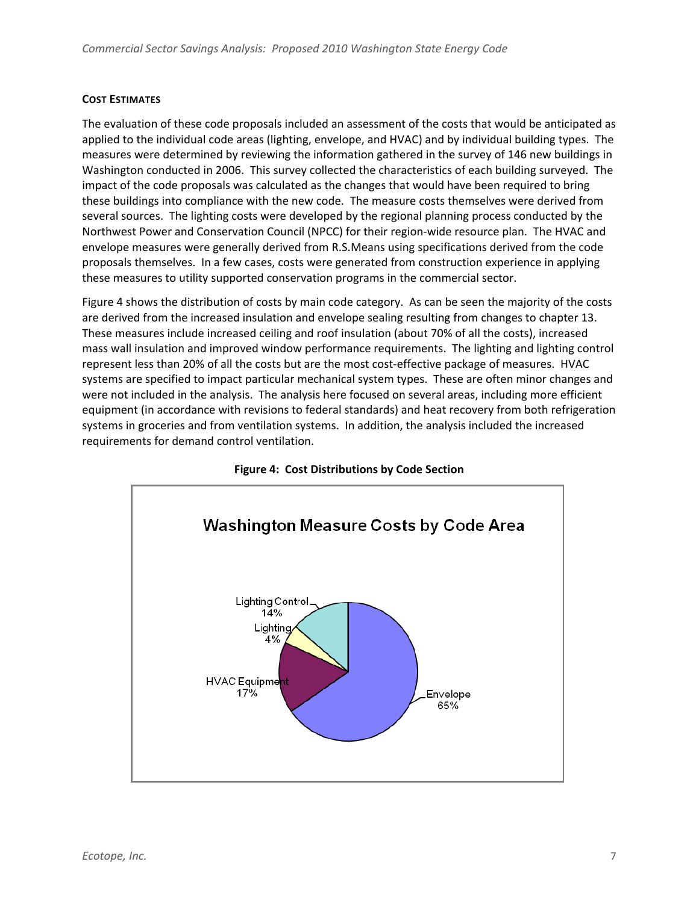### **COST ESTIMATES**

The evaluation of these code proposals included an assessment of the costs that would be anticipated as applied to the individual code areas (lighting, envelope, and HVAC) and by individual building types. The measures were determined by reviewing the information gathered in the survey of 146 new buildings in Washington conducted in 2006. This survey collected the characteristics of each building surveyed. The impact of the code proposals was calculated as the changes that would have been required to bring these buildings into compliance with the new code. The measure costs themselves were derived from several sources. The lighting costs were developed by the regional planning process conducted by the Northwest Power and Conservation Council (NPCC) for their region‐wide resource plan. The HVAC and envelope measures were generally derived from R.S.Means using specifications derived from the code proposals themselves. In a few cases, costs were generated from construction experience in applying these measures to utility supported conservation programs in the commercial sector.

Figure 4 shows the distribution of costs by main code category. As can be seen the majority of the costs are derived from the increased insulation and envelope sealing resulting from changes to chapter 13. These measures include increased ceiling and roof insulation (about 70% of all the costs), increased mass wall insulation and improved window performance requirements. The lighting and lighting control represent less than 20% of all the costs but are the most cost-effective package of measures. HVAC systems are specified to impact particular mechanical system types. These are often minor changes and were not included in the analysis. The analysis here focused on several areas, including more efficient equipment (in accordance with revisions to federal standards) and heat recovery from both refrigeration systems in groceries and from ventilation systems. In addition, the analysis included the increased requirements for demand control ventilation.